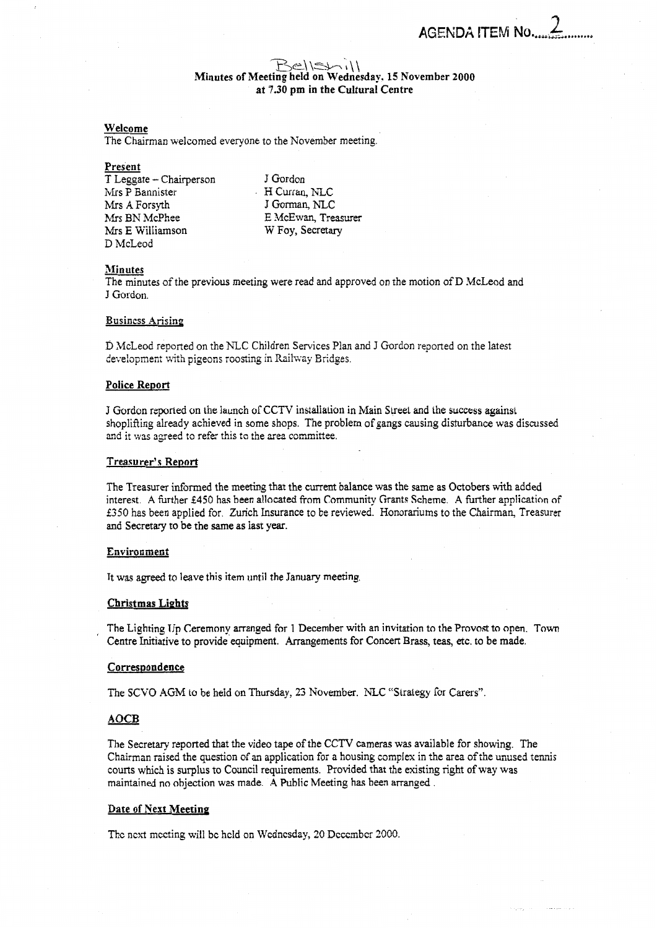الداروونية

# *-p3e\ \z3-* \*\ \ \ Minutes **of** Meeting held **on** Wednesday. **15** November **2000 at 7.30 pm** in **the** Cultural Centre

## Welcome

The Chairman welcomed everyone to the November meeting.

### Present

T Leggate - Chairperson Mrs P Eannisrer Mrs **A** Forsyth Mrs BN McPhee **Mrs** E Williarnson D McLeod

J Gordon  $\cdot$  H Curran, NLC J Gorman, NLC E McEwan, Treasurer W Foy, Secretary

# Minutes

The minutes of the previous meeting were read and approved on the motion of **D** McLeod and

# **Business Arising**

D McLeod reported on the **NLC** Children Services Plan and J Gordon reported on the latest development with pigeons roosting in Railway Bridges.

# **Police** Report

**<sup>J</sup>**Gurdon reporled on **the** launch of CCTV installation in Main **Sweet** and tile success against shoplifting already achieved in some shops. The problem of gangs causing disturbance was discussed and it was agreed to refer this to the area committee.

#### Treasurer's Report

The Treasurer informed the meeting that the current balance was the same as Octobers with added interest. A further £450 has been allocated from Community Grants Scheme. A further application of **€350** has been applied for. Zurich Insurance to be reviewed. Honorariums to the Chairman, Treasurer and Secretary to be the Same as last year.

# Environment

It was agreed to leave this item until the January meeting,

### **Christmas LiPhts**

The Lighting Un Ceremony arranged for 1 December with an invitation to the Provost to open. Town Centre Initiative to provide equipment. Arrangements for Concert **Brass,** teas, etc. to be made. The Eigning Of<br>Centre Initiative<br>Correspondence<br>The Secretary re

#### **Correspondence**

The SCVO AGM to be held on Thursday, 23 November. NLC "Strategy for Carers".

The Secretary reported that the video tape of the CCTV cameras was available for showing. The Chairman raised the question of an application for a housing complex in the area of the unused tennis courts which is surplus to Council requirements. Provided that the existing right of way was maintained no objection was made. A Public Meeting has been arranged .

### Date **of** Next Meeting

The next meeting will be held on Wednesday, 20 December 2000.